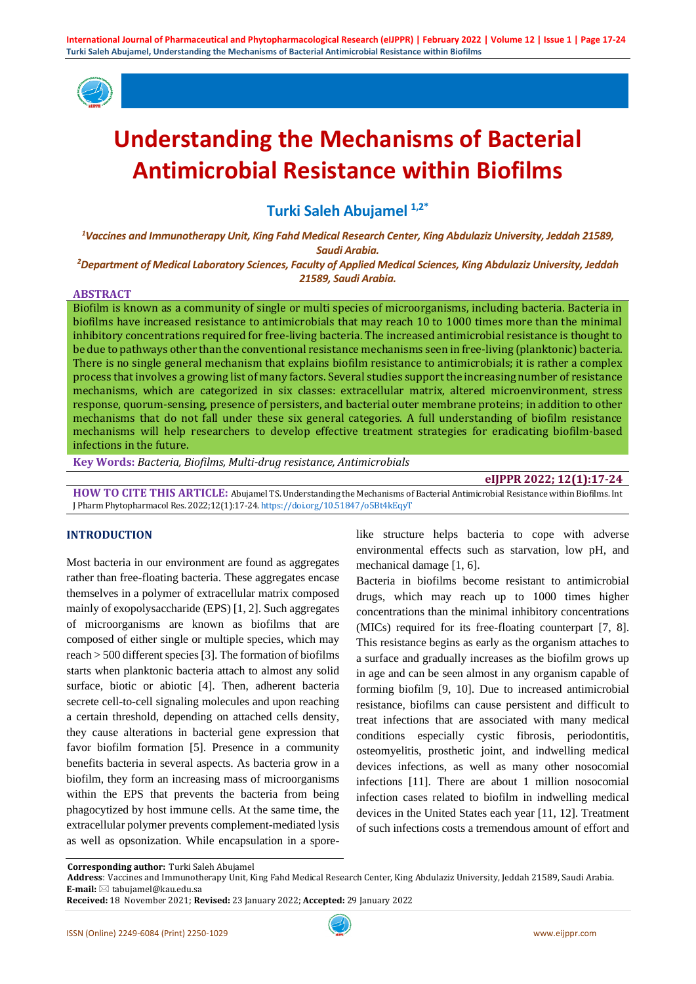

# **Understanding the Mechanisms of Bacterial Antimicrobial Resistance within Biofilms**

**Turki Saleh Abujamel 1,2\***

*<sup>1</sup>Vaccines and Immunotherapy Unit, King Fahd Medical Research Center, King Abdulaziz University, Jeddah 21589, Saudi Arabia.*

*<sup>2</sup>Department of Medical Laboratory Sciences, Faculty of Applied Medical Sciences, King Abdulaziz University, Jeddah 21589, Saudi Arabia.*

#### **ABSTRACT**

Biofilm is known as a community of single or multi species of microorganisms, including bacteria. Bacteria in biofilms have increased resistance to antimicrobials that may reach 10 to 1000 times more than the minimal inhibitory concentrations required for free-living bacteria. The increased antimicrobial resistance is thought to be due to pathways other than the conventional resistance mechanisms seen in free-living (planktonic) bacteria. There is no single general mechanism that explains biofilm resistance to antimicrobials; it is rather a complex process that involves a growing list of many factors. Several studies support the increasing number of resistance mechanisms, which are categorized in six classes: extracellular matrix, altered microenvironment, stress response, quorum-sensing, presence of persisters, and bacterial outer membrane proteins; in addition to other mechanisms that do not fall under these six general categories. A full understanding of biofilm resistance mechanisms will help researchers to develop effective treatment strategies for eradicating biofilm-based infections in the future.

**Key Words:** *Bacteria, Biofilms, Multi-drug resistance, Antimicrobials*

## **eIJPPR 2022; 12(1):17-24**

**HOW TO CITE THIS ARTICLE:** Abujamel TS. Understanding the Mechanisms of Bacterial Antimicrobial Resistance within Biofilms. Int J Pharm Phytopharmacol Res. 2022;12(1):17-24. <https://doi.org/10.51847/o5Bt4kEqyT>

## **INTRODUCTION**

Most bacteria in our environment are found as aggregates rather than free-floating bacteria. These aggregates encase themselves in a polymer of extracellular matrix composed mainly of exopolysaccharide (EPS) [1, 2]. Such aggregates of microorganisms are known as biofilms that are composed of either single or multiple species, which may reach > 500 different species [3]. The formation of biofilms starts when planktonic bacteria attach to almost any solid surface, biotic or abiotic [4]. Then, adherent bacteria secrete cell-to-cell signaling molecules and upon reaching a certain threshold, depending on attached cells density, they cause alterations in bacterial gene expression that favor biofilm formation [5]. Presence in a community benefits bacteria in several aspects. As bacteria grow in a biofilm, they form an increasing mass of microorganisms within the EPS that prevents the bacteria from being phagocytized by host immune cells. At the same time, the extracellular polymer prevents complement-mediated lysis as well as opsonization. While encapsulation in a sporelike structure helps bacteria to cope with adverse environmental effects such as starvation, low pH, and mechanical damage [1, 6].

Bacteria in biofilms become resistant to antimicrobial drugs, which may reach up to 1000 times higher concentrations than the minimal inhibitory concentrations (MICs) required for its free-floating counterpart [7, 8]. This resistance begins as early as the organism attaches to a surface and gradually increases as the biofilm grows up in age and can be seen almost in any organism capable of forming biofilm [9, 10]. Due to increased antimicrobial resistance, biofilms can cause persistent and difficult to treat infections that are associated with many medical conditions especially cystic fibrosis, periodontitis, osteomyelitis, prosthetic joint, and indwelling medical devices infections, as well as many other nosocomial infections [11]. There are about 1 million nosocomial infection cases related to biofilm in indwelling medical devices in the United States each year [11, 12]. Treatment of such infections costs a tremendous amount of effort and

 **Address**: Vaccines and Immunotherapy Unit, King Fahd Medical Research Center, King Abdulaziz University, Jeddah 21589, Saudi Arabia. **E-mail:** tabujamel@kau.edu.sa

**Corresponding author:** Turki Saleh Abujamel

**Received:** 18 November 2021; **Revised:** 23 January 2022; **Accepted:** 29 January 2022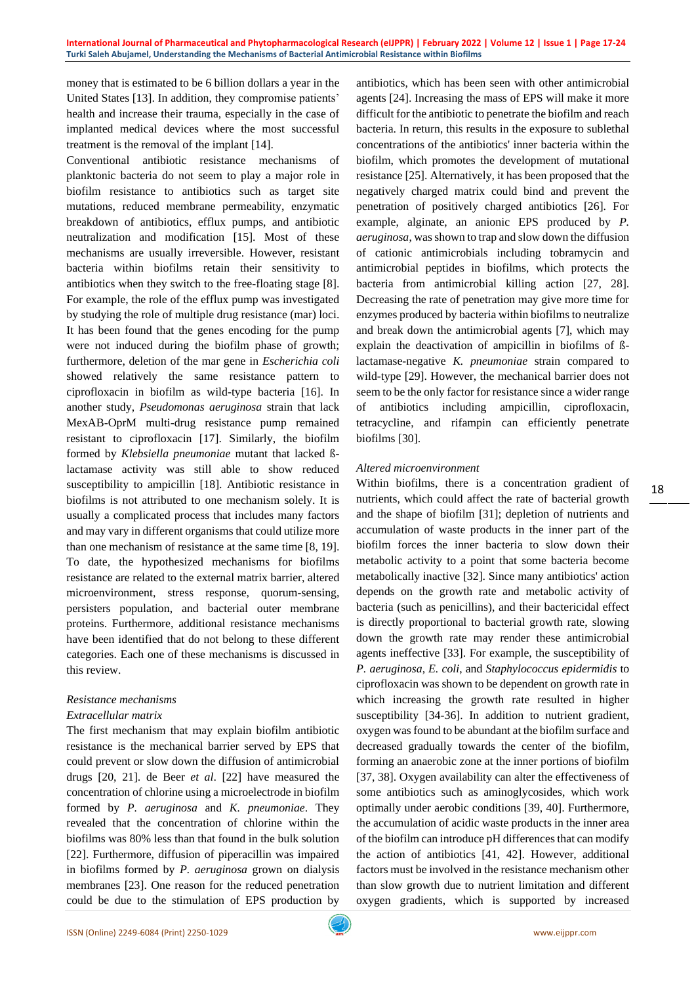money that is estimated to be 6 billion dollars a year in the United States [13]. In addition, they compromise patients' health and increase their trauma, especially in the case of implanted medical devices where the most successful treatment is the removal of the implant [14].

Conventional antibiotic resistance mechanisms of planktonic bacteria do not seem to play a major role in biofilm resistance to antibiotics such as target site mutations, reduced membrane permeability, enzymatic breakdown of antibiotics, efflux pumps, and antibiotic neutralization and modification [15]. Most of these mechanisms are usually irreversible. However, resistant bacteria within biofilms retain their sensitivity to antibiotics when they switch to the free-floating stage [8]. For example, the role of the efflux pump was investigated by studying the role of multiple drug resistance (mar) loci. It has been found that the genes encoding for the pump were not induced during the biofilm phase of growth; furthermore, deletion of the mar gene in *Escherichia coli* showed relatively the same resistance pattern to ciprofloxacin in biofilm as wild-type bacteria [16]. In another study, *Pseudomonas aeruginosa* strain that lack MexAB-OprM multi-drug resistance pump remained resistant to ciprofloxacin [17]. Similarly, the biofilm formed by *Klebsiella pneumoniae* mutant that lacked ßlactamase activity was still able to show reduced susceptibility to ampicillin [18]. Antibiotic resistance in biofilms is not attributed to one mechanism solely. It is usually a complicated process that includes many factors and may vary in different organisms that could utilize more than one mechanism of resistance at the same time [8, 19]. To date, the hypothesized mechanisms for biofilms resistance are related to the external matrix barrier, altered microenvironment, stress response, quorum-sensing, persisters population, and bacterial outer membrane proteins. Furthermore, additional resistance mechanisms have been identified that do not belong to these different categories. Each one of these mechanisms is discussed in this review.

## *Resistance mechanisms*

#### *Extracellular matrix*

The first mechanism that may explain biofilm antibiotic resistance is the mechanical barrier served by EPS that could prevent or slow down the diffusion of antimicrobial drugs [20, 21]. de Beer *et al*. [22] have measured the concentration of chlorine using a microelectrode in biofilm formed by *P. aeruginosa* and *K. pneumoniae*. They revealed that the concentration of chlorine within the biofilms was 80% less than that found in the bulk solution [22]. Furthermore, diffusion of piperacillin was impaired in biofilms formed by *P. aeruginosa* grown on dialysis membranes [23]. One reason for the reduced penetration could be due to the stimulation of EPS production by antibiotics, which has been seen with other antimicrobial agents [24]. Increasing the mass of EPS will make it more difficult for the antibiotic to penetrate the biofilm and reach bacteria. In return, this results in the exposure to sublethal concentrations of the antibiotics' inner bacteria within the biofilm, which promotes the development of mutational resistance [25]. Alternatively, it has been proposed that the negatively charged matrix could bind and prevent the penetration of positively charged antibiotics [26]. For example, alginate, an anionic EPS produced by *P. aeruginosa*, was shown to trap and slow down the diffusion of cationic antimicrobials including tobramycin and antimicrobial peptides in biofilms, which protects the bacteria from antimicrobial killing action [27, 28]. Decreasing the rate of penetration may give more time for enzymes produced by bacteria within biofilms to neutralize and break down the antimicrobial agents [7], which may explain the deactivation of ampicillin in biofilms of ßlactamase-negative *K. pneumoniae* strain compared to wild-type [29]. However, the mechanical barrier does not seem to be the only factor for resistance since a wider range of antibiotics including ampicillin, ciprofloxacin, tetracycline, and rifampin can efficiently penetrate biofilms [30].

### *Altered microenvironment*

Within biofilms, there is a concentration gradient of nutrients, which could affect the rate of bacterial growth and the shape of biofilm [31]; depletion of nutrients and accumulation of waste products in the inner part of the biofilm forces the inner bacteria to slow down their metabolic activity to a point that some bacteria become metabolically inactive [32]. Since many antibiotics' action depends on the growth rate and metabolic activity of bacteria (such as penicillins), and their bactericidal effect is directly proportional to bacterial growth rate, slowing down the growth rate may render these antimicrobial agents ineffective [33]. For example, the susceptibility of *P. aeruginosa*, *E. coli*, and *Staphylococcus epidermidis* to ciprofloxacin was shown to be dependent on growth rate in which increasing the growth rate resulted in higher susceptibility [34-36]. In addition to nutrient gradient, oxygen was found to be abundant at the biofilm surface and decreased gradually towards the center of the biofilm, forming an anaerobic zone at the inner portions of biofilm [37, 38]. Oxygen availability can alter the effectiveness of some antibiotics such as aminoglycosides, which work optimally under aerobic conditions [39, 40]. Furthermore, the accumulation of acidic waste products in the inner area of the biofilm can introduce pH differences that can modify the action of antibiotics [41, 42]. However, additional factors must be involved in the resistance mechanism other than slow growth due to nutrient limitation and different oxygen gradients, which is supported by increased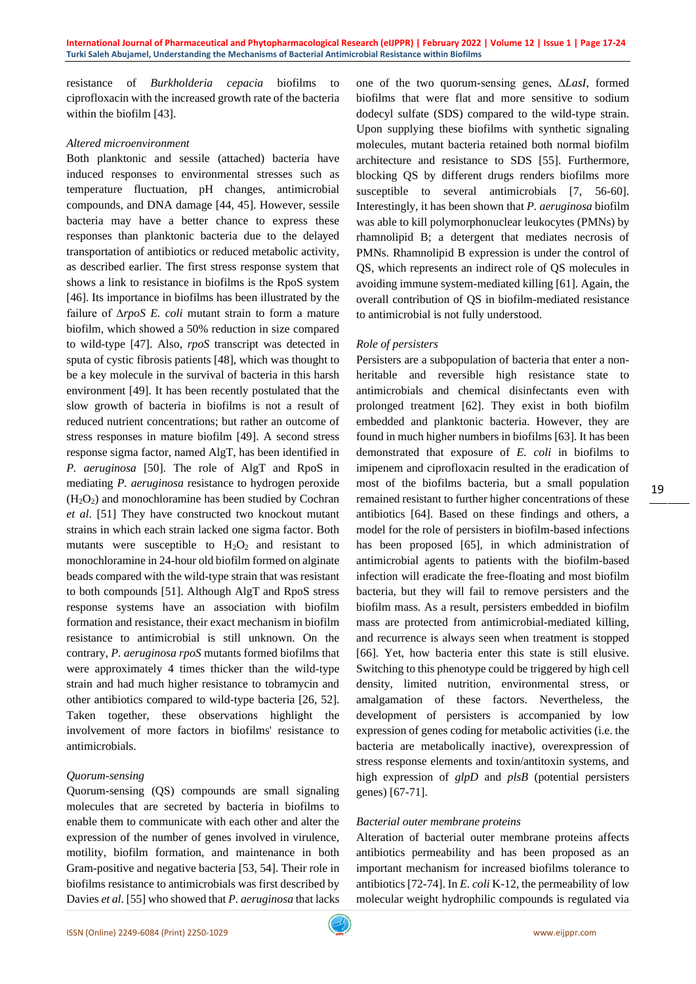resistance of *Burkholderia cepacia* biofilms to ciprofloxacin with the increased growth rate of the bacteria within the biofilm [43].

#### *Altered microenvironment*

Both planktonic and sessile (attached) bacteria have induced responses to environmental stresses such as temperature fluctuation, pH changes, antimicrobial compounds, and DNA damage [44, 45]. However, sessile bacteria may have a better chance to express these responses than planktonic bacteria due to the delayed transportation of antibiotics or reduced metabolic activity, as described earlier. The first stress response system that shows a link to resistance in biofilms is the RpoS system [46]. Its importance in biofilms has been illustrated by the failure of ∆*rpoS E. coli* mutant strain to form a mature biofilm, which showed a 50% reduction in size compared to wild-type [47]. Also, *rpoS* transcript was detected in sputa of cystic fibrosis patients [48], which was thought to be a key molecule in the survival of bacteria in this harsh environment [49]. It has been recently postulated that the slow growth of bacteria in biofilms is not a result of reduced nutrient concentrations; but rather an outcome of stress responses in mature biofilm [49]. A second stress response sigma factor, named AlgT, has been identified in *P. aeruginosa* [50]. The role of AlgT and RpoS in mediating *P. aeruginosa* resistance to hydrogen peroxide  $(H<sub>2</sub>O<sub>2</sub>)$  and monochloramine has been studied by Cochran *et al*. [51] They have constructed two knockout mutant strains in which each strain lacked one sigma factor. Both mutants were susceptible to  $H_2O_2$  and resistant to monochloramine in 24-hour old biofilm formed on alginate beads compared with the wild-type strain that was resistant to both compounds [51]. Although AlgT and RpoS stress response systems have an association with biofilm formation and resistance, their exact mechanism in biofilm resistance to antimicrobial is still unknown. On the contrary, *P. aeruginosa rpoS* mutants formed biofilms that were approximately 4 times thicker than the wild-type strain and had much higher resistance to tobramycin and other antibiotics compared to wild-type bacteria [26, 52]. Taken together, these observations highlight the involvement of more factors in biofilms' resistance to antimicrobials.

## *Quorum-sensing*

Quorum-sensing (QS) compounds are small signaling molecules that are secreted by bacteria in biofilms to enable them to communicate with each other and alter the expression of the number of genes involved in virulence, motility, biofilm formation, and maintenance in both Gram-positive and negative bacteria [53, 54]. Their role in biofilms resistance to antimicrobials was first described by Davies *et al*. [55] who showed that *P. aeruginosa* that lacks one of the two quorum-sensing genes, ∆*LasI*, formed biofilms that were flat and more sensitive to sodium dodecyl sulfate (SDS) compared to the wild-type strain. Upon supplying these biofilms with synthetic signaling molecules, mutant bacteria retained both normal biofilm architecture and resistance to SDS [55]. Furthermore, blocking QS by different drugs renders biofilms more susceptible to several antimicrobials [7, 56-60]. Interestingly, it has been shown that *P. aeruginosa* biofilm was able to kill polymorphonuclear leukocytes (PMNs) by rhamnolipid B; a detergent that mediates necrosis of PMNs. Rhamnolipid B expression is under the control of QS, which represents an indirect role of QS molecules in avoiding immune system-mediated killing [61]. Again, the overall contribution of QS in biofilm-mediated resistance to antimicrobial is not fully understood.

## *Role of persisters*

Persisters are a subpopulation of bacteria that enter a nonheritable and reversible high resistance state to antimicrobials and chemical disinfectants even with prolonged treatment [62]. They exist in both biofilm embedded and planktonic bacteria. However, they are found in much higher numbers in biofilms [63]. It has been demonstrated that exposure of *E. coli* in biofilms to imipenem and ciprofloxacin resulted in the eradication of most of the biofilms bacteria, but a small population remained resistant to further higher concentrations of these antibiotics [64]. Based on these findings and others, a model for the role of persisters in biofilm-based infections has been proposed [65], in which administration of antimicrobial agents to patients with the biofilm-based infection will eradicate the free-floating and most biofilm bacteria, but they will fail to remove persisters and the biofilm mass. As a result, persisters embedded in biofilm mass are protected from antimicrobial-mediated killing, and recurrence is always seen when treatment is stopped [66]. Yet, how bacteria enter this state is still elusive. Switching to this phenotype could be triggered by high cell density, limited nutrition, environmental stress, or amalgamation of these factors. Nevertheless, the development of persisters is accompanied by low expression of genes coding for metabolic activities (i.e. the bacteria are metabolically inactive), overexpression of stress response elements and toxin/antitoxin systems, and high expression of *glpD* and *plsB* (potential persisters genes) [67-71].

#### *Bacterial outer membrane proteins*

Alteration of bacterial outer membrane proteins affects antibiotics permeability and has been proposed as an important mechanism for increased biofilms tolerance to antibiotics [72-74]. In *E. coli* K-12, the permeability of low molecular weight hydrophilic compounds is regulated via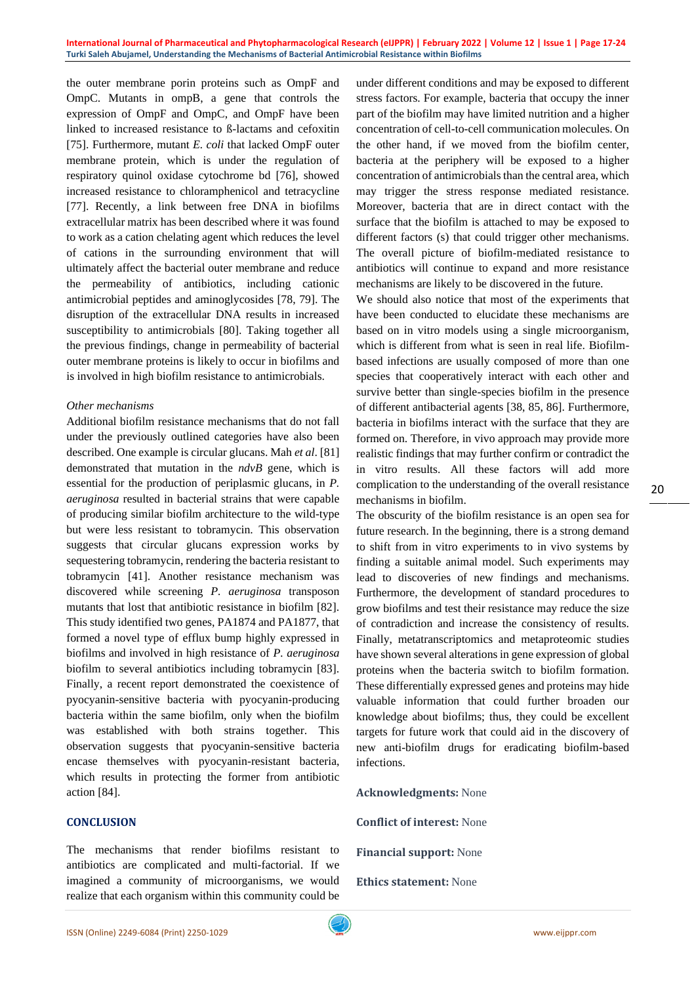the outer membrane porin proteins such as OmpF and OmpC. Mutants in ompB, a gene that controls the expression of OmpF and OmpC, and OmpF have been linked to increased resistance to ß-lactams and cefoxitin [75]. Furthermore, mutant *E. coli* that lacked OmpF outer membrane protein, which is under the regulation of respiratory quinol oxidase cytochrome bd [76], showed increased resistance to chloramphenicol and tetracycline [77]. Recently, a link between free DNA in biofilms extracellular matrix has been described where it was found to work as a cation chelating agent which reduces the level of cations in the surrounding environment that will ultimately affect the bacterial outer membrane and reduce the permeability of antibiotics, including cationic antimicrobial peptides and aminoglycosides [78, 79]. The disruption of the extracellular DNA results in increased susceptibility to antimicrobials [80]. Taking together all the previous findings, change in permeability of bacterial outer membrane proteins is likely to occur in biofilms and is involved in high biofilm resistance to antimicrobials.

### *Other mechanisms*

Additional biofilm resistance mechanisms that do not fall under the previously outlined categories have also been described. One example is circular glucans. Mah *et al*. [81] demonstrated that mutation in the *ndvB* gene, which is essential for the production of periplasmic glucans, in *P. aeruginosa* resulted in bacterial strains that were capable of producing similar biofilm architecture to the wild-type but were less resistant to tobramycin. This observation suggests that circular glucans expression works by sequestering tobramycin, rendering the bacteria resistant to tobramycin [41]. Another resistance mechanism was discovered while screening *P. aeruginosa* transposon mutants that lost that antibiotic resistance in biofilm [82]. This study identified two genes, PA1874 and PA1877, that formed a novel type of efflux bump highly expressed in biofilms and involved in high resistance of *P. aeruginosa* biofilm to several antibiotics including tobramycin [83]. Finally, a recent report demonstrated the coexistence of pyocyanin-sensitive bacteria with pyocyanin-producing bacteria within the same biofilm, only when the biofilm was established with both strains together. This observation suggests that pyocyanin-sensitive bacteria encase themselves with pyocyanin-resistant bacteria, which results in protecting the former from antibiotic action [84].

## **CONCLUSION**

The mechanisms that render biofilms resistant to antibiotics are complicated and multi-factorial. If we imagined a community of microorganisms, we would realize that each organism within this community could be

under different conditions and may be exposed to different stress factors. For example, bacteria that occupy the inner part of the biofilm may have limited nutrition and a higher concentration of cell-to-cell communication molecules. On the other hand, if we moved from the biofilm center, bacteria at the periphery will be exposed to a higher concentration of antimicrobials than the central area, which may trigger the stress response mediated resistance. Moreover, bacteria that are in direct contact with the surface that the biofilm is attached to may be exposed to different factors (s) that could trigger other mechanisms. The overall picture of biofilm-mediated resistance to antibiotics will continue to expand and more resistance mechanisms are likely to be discovered in the future.

We should also notice that most of the experiments that have been conducted to elucidate these mechanisms are based on in vitro models using a single microorganism, which is different from what is seen in real life. Biofilmbased infections are usually composed of more than one species that cooperatively interact with each other and survive better than single-species biofilm in the presence of different antibacterial agents [38, 85, 86]. Furthermore, bacteria in biofilms interact with the surface that they are formed on. Therefore, in vivo approach may provide more realistic findings that may further confirm or contradict the in vitro results. All these factors will add more complication to the understanding of the overall resistance mechanisms in biofilm.

The obscurity of the biofilm resistance is an open sea for future research. In the beginning, there is a strong demand to shift from in vitro experiments to in vivo systems by finding a suitable animal model. Such experiments may lead to discoveries of new findings and mechanisms. Furthermore, the development of standard procedures to grow biofilms and test their resistance may reduce the size of contradiction and increase the consistency of results. Finally, metatranscriptomics and metaproteomic studies have shown several alterations in gene expression of global proteins when the bacteria switch to biofilm formation. These differentially expressed genes and proteins may hide valuable information that could further broaden our knowledge about biofilms; thus, they could be excellent targets for future work that could aid in the discovery of new anti-biofilm drugs for eradicating biofilm-based infections.

**Acknowledgments:** None

**Conflict of interest:** None

**Financial support:** None

**Ethics statement:** None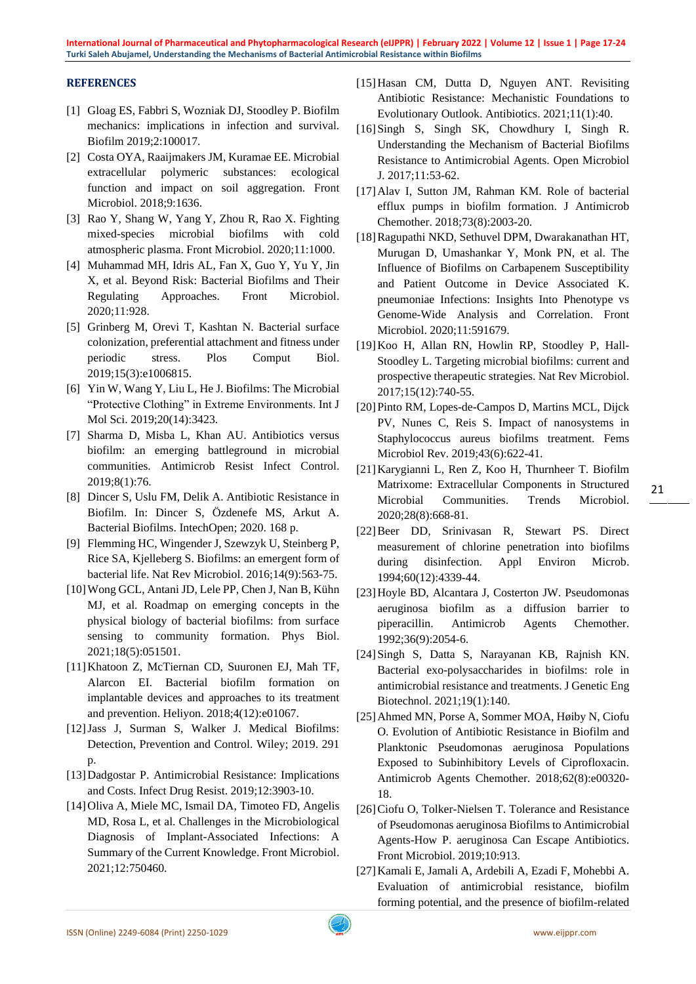**International Journal of Pharmaceutical and Phytopharmacological Research (eIJPPR) | February 2022 | Volume 12 | Issue 1 | Page 17-24 Turki Saleh Abujamel, Understanding the Mechanisms of Bacterial Antimicrobial Resistance within Biofilms**

## **REFERENCES**

- [1] Gloag ES, Fabbri S, Wozniak DJ, Stoodley P. Biofilm mechanics: implications in infection and survival. Biofilm 2019;2:100017.
- [2] Costa OYA, Raaijmakers JM, Kuramae EE. Microbial extracellular polymeric substances: ecological function and impact on soil aggregation. Front Microbiol. 2018;9:1636.
- [3] Rao Y, Shang W, Yang Y, Zhou R, Rao X. Fighting mixed-species microbial biofilms with cold atmospheric plasma. Front Microbiol. 2020;11:1000.
- [4] Muhammad MH, Idris AL, Fan X, Guo Y, Yu Y, Jin X, et al. Beyond Risk: Bacterial Biofilms and Their Regulating Approaches. Front Microbiol. 2020;11:928.
- [5] Grinberg M, Orevi T, Kashtan N. Bacterial surface colonization, preferential attachment and fitness under periodic stress. Plos Comput Biol. 2019;15(3):e1006815.
- [6] Yin W, Wang Y, Liu L, He J. Biofilms: The Microbial "Protective Clothing" in Extreme Environments. Int J Mol Sci. 2019;20(14):3423.
- [7] Sharma D, Misba L, Khan AU. Antibiotics versus biofilm: an emerging battleground in microbial communities. Antimicrob Resist Infect Control. 2019;8(1):76.
- [8] Dincer S, Uslu FM, Delik A. Antibiotic Resistance in Biofilm. In: Dincer S, Özdenefe MS, Arkut A. Bacterial Biofilms. IntechOpen; 2020. 168 p.
- [9] Flemming HC, Wingender J, Szewzyk U, Steinberg P, Rice SA, Kjelleberg S. Biofilms: an emergent form of bacterial life. Nat Rev Microbiol. 2016;14(9):563-75.
- [10]Wong GCL, Antani JD, Lele PP, Chen J, Nan B, Kühn MJ, et al. Roadmap on emerging concepts in the physical biology of bacterial biofilms: from surface sensing to community formation. Phys Biol. 2021;18(5):051501.
- [11]Khatoon Z, McTiernan CD, Suuronen EJ, Mah TF, Alarcon EI. Bacterial biofilm formation on implantable devices and approaches to its treatment and prevention. Heliyon. 2018;4(12):e01067.
- [12]Jass J, Surman S, Walker J. Medical Biofilms: Detection, Prevention and Control. Wiley; 2019. 291 p.
- [13]Dadgostar P. Antimicrobial Resistance: Implications and Costs. Infect Drug Resist. 2019;12:3903-10.
- [14]Oliva A, Miele MC, Ismail DA, Timoteo FD, Angelis MD, Rosa L, et al. Challenges in the Microbiological Diagnosis of Implant-Associated Infections: A Summary of the Current Knowledge. Front Microbiol. 2021;12:750460.
- [15]Hasan CM, Dutta D, Nguyen ANT. Revisiting Antibiotic Resistance: Mechanistic Foundations to Evolutionary Outlook. Antibiotics. 2021;11(1):40.
- [16]Singh S, Singh SK, Chowdhury I, Singh R. Understanding the Mechanism of Bacterial Biofilms Resistance to Antimicrobial Agents. Open Microbiol J. 2017;11:53-62.
- [17]Alav I, Sutton JM, Rahman KM. Role of bacterial efflux pumps in biofilm formation. J Antimicrob Chemother. 2018;73(8):2003-20.
- [18]Ragupathi NKD, Sethuvel DPM, Dwarakanathan HT, Murugan D, Umashankar Y, Monk PN, et al. The Influence of Biofilms on Carbapenem Susceptibility and Patient Outcome in Device Associated K. pneumoniae Infections: Insights Into Phenotype vs Genome-Wide Analysis and Correlation. Front Microbiol. 2020;11:591679.
- [19]Koo H, Allan RN, Howlin RP, Stoodley P, Hall-Stoodley L. Targeting microbial biofilms: current and prospective therapeutic strategies. Nat Rev Microbiol. 2017;15(12):740-55.
- [20]Pinto RM, Lopes-de-Campos D, Martins MCL, Dijck PV, Nunes C, Reis S. Impact of nanosystems in Staphylococcus aureus biofilms treatment. Fems Microbiol Rev. 2019;43(6):622-41.
- [21]Karygianni L, Ren Z, Koo H, Thurnheer T. Biofilm Matrixome: Extracellular Components in Structured Microbial Communities. Trends Microbiol. 2020;28(8):668-81.
- [22]Beer DD, Srinivasan R, Stewart PS. Direct measurement of chlorine penetration into biofilms during disinfection. Appl Environ Microb. 1994;60(12):4339-44.
- [23]Hoyle BD, Alcantara J, Costerton JW. Pseudomonas aeruginosa biofilm as a diffusion barrier to piperacillin. Antimicrob Agents Chemother. 1992;36(9):2054-6.
- [24]Singh S, Datta S, Narayanan KB, Rajnish KN. Bacterial exo-polysaccharides in biofilms: role in antimicrobial resistance and treatments. J Genetic Eng Biotechnol. 2021;19(1):140.
- [25]Ahmed MN, Porse A, Sommer MOA, Høiby N, Ciofu O. Evolution of Antibiotic Resistance in Biofilm and Planktonic Pseudomonas aeruginosa Populations Exposed to Subinhibitory Levels of Ciprofloxacin. Antimicrob Agents Chemother. 2018;62(8):e00320- 18.
- [26]Ciofu O, Tolker-Nielsen T. Tolerance and Resistance of Pseudomonas aeruginosa Biofilms to Antimicrobial Agents-How P. aeruginosa Can Escape Antibiotics. Front Microbiol. 2019;10:913.
- [27]Kamali E, Jamali A, Ardebili A, Ezadi F, Mohebbi A. Evaluation of antimicrobial resistance, biofilm forming potential, and the presence of biofilm-related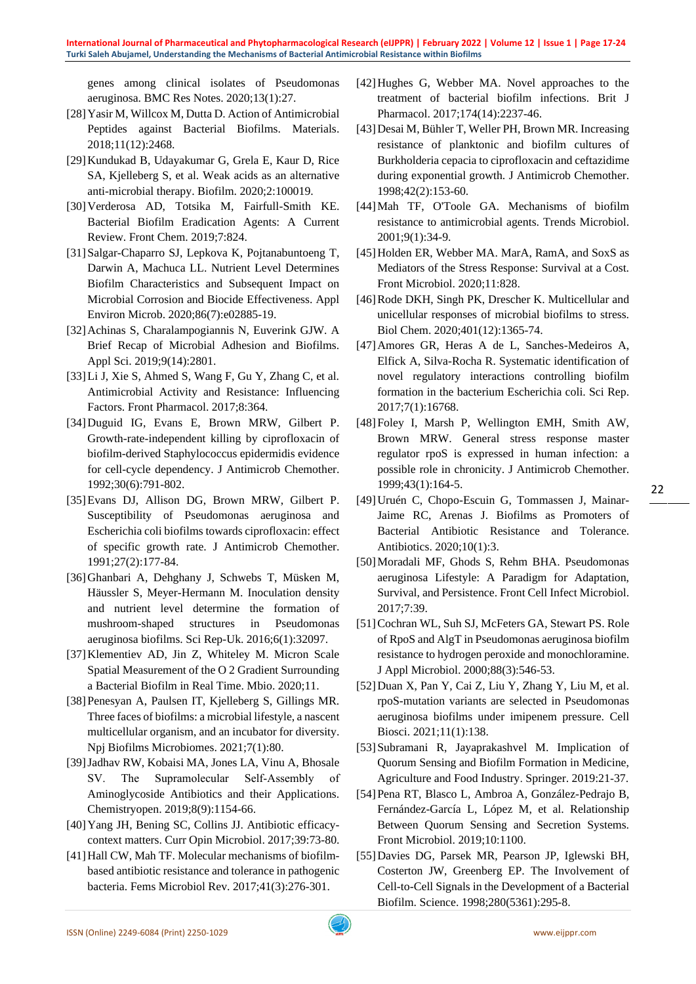genes among clinical isolates of Pseudomonas aeruginosa. BMC Res Notes. 2020;13(1):27.

- [28]Yasir M, Willcox M, Dutta D. Action of Antimicrobial Peptides against Bacterial Biofilms. Materials. 2018;11(12):2468.
- [29]Kundukad B, Udayakumar G, Grela E, Kaur D, Rice SA, Kjelleberg S, et al. Weak acids as an alternative anti-microbial therapy. Biofilm. 2020;2:100019.
- [30]Verderosa AD, Totsika M, Fairfull-Smith KE. Bacterial Biofilm Eradication Agents: A Current Review. Front Chem. 2019;7:824.
- [31]Salgar-Chaparro SJ, Lepkova K, Pojtanabuntoeng T, Darwin A, Machuca LL. Nutrient Level Determines Biofilm Characteristics and Subsequent Impact on Microbial Corrosion and Biocide Effectiveness. Appl Environ Microb. 2020;86(7):e02885-19.
- [32]Achinas S, Charalampogiannis N, Euverink GJW. A Brief Recap of Microbial Adhesion and Biofilms. Appl Sci. 2019;9(14):2801.
- [33]Li J, Xie S, Ahmed S, Wang F, Gu Y, Zhang C, et al. Antimicrobial Activity and Resistance: Influencing Factors. Front Pharmacol. 2017;8:364.
- [34]Duguid IG, Evans E, Brown MRW, Gilbert P. Growth-rate-independent killing by ciprofloxacin of biofilm-derived Staphylococcus epidermidis evidence for cell-cycle dependency. J Antimicrob Chemother. 1992;30(6):791-802.
- [35]Evans DJ, Allison DG, Brown MRW, Gilbert P. Susceptibility of Pseudomonas aeruginosa and Escherichia coli biofilms towards ciprofloxacin: effect of specific growth rate. J Antimicrob Chemother. 1991;27(2):177-84.
- [36]Ghanbari A, Dehghany J, Schwebs T, Müsken M, Häussler S, Meyer-Hermann M. Inoculation density and nutrient level determine the formation of mushroom-shaped structures in Pseudomonas aeruginosa biofilms. Sci Rep-Uk. 2016;6(1):32097.
- [37]Klementiev AD, Jin Z, Whiteley M. Micron Scale Spatial Measurement of the O 2 Gradient Surrounding a Bacterial Biofilm in Real Time. Mbio. 2020;11.
- [38]Penesyan A, Paulsen IT, Kjelleberg S, Gillings MR. Three faces of biofilms: a microbial lifestyle, a nascent multicellular organism, and an incubator for diversity. Npj Biofilms Microbiomes. 2021;7(1):80.
- [39]Jadhav RW, Kobaisi MA, Jones LA, Vinu A, Bhosale SV. The Supramolecular Self‐Assembly of Aminoglycoside Antibiotics and their Applications. Chemistryopen. 2019;8(9):1154-66.
- [40]Yang JH, Bening SC, Collins JJ. Antibiotic efficacycontext matters. Curr Opin Microbiol. 2017;39:73-80.
- [41]Hall CW, Mah TF. Molecular mechanisms of biofilmbased antibiotic resistance and tolerance in pathogenic bacteria. Fems Microbiol Rev. 2017;41(3):276-301.
- [42]Hughes G, Webber MA. Novel approaches to the treatment of bacterial biofilm infections. Brit J Pharmacol. 2017;174(14):2237-46.
- [43]Desai M, Bühler T, Weller PH, Brown MR. Increasing resistance of planktonic and biofilm cultures of Burkholderia cepacia to ciprofloxacin and ceftazidime during exponential growth. J Antimicrob Chemother. 1998;42(2):153-60.
- [44]Mah TF, O'Toole GA. Mechanisms of biofilm resistance to antimicrobial agents. Trends Microbiol. 2001;9(1):34-9.
- [45]Holden ER, Webber MA. MarA, RamA, and SoxS as Mediators of the Stress Response: Survival at a Cost. Front Microbiol. 2020;11:828.
- [46]Rode DKH, Singh PK, Drescher K. Multicellular and unicellular responses of microbial biofilms to stress. Biol Chem. 2020;401(12):1365-74.
- [47]Amores GR, Heras A de L, Sanches-Medeiros A, Elfick A, Silva-Rocha R. Systematic identification of novel regulatory interactions controlling biofilm formation in the bacterium Escherichia coli. Sci Rep. 2017;7(1):16768.
- [48]Foley I, Marsh P, Wellington EMH, Smith AW, Brown MRW. General stress response master regulator rpoS is expressed in human infection: a possible role in chronicity. J Antimicrob Chemother. 1999;43(1):164-5.
- [49]Uruén C, Chopo-Escuin G, Tommassen J, Mainar-Jaime RC, Arenas J. Biofilms as Promoters of Bacterial Antibiotic Resistance and Tolerance. Antibiotics. 2020;10(1):3.
- [50]Moradali MF, Ghods S, Rehm BHA. Pseudomonas aeruginosa Lifestyle: A Paradigm for Adaptation, Survival, and Persistence. Front Cell Infect Microbiol. 2017;7:39.
- [51] Cochran WL, Suh SJ, McFeters GA, Stewart PS. Role of RpoS and AlgT in Pseudomonas aeruginosa biofilm resistance to hydrogen peroxide and monochloramine. J Appl Microbiol. 2000;88(3):546-53.
- [52]Duan X, Pan Y, Cai Z, Liu Y, Zhang Y, Liu M, et al. rpoS-mutation variants are selected in Pseudomonas aeruginosa biofilms under imipenem pressure. Cell Biosci. 2021;11(1):138.
- [53]Subramani R, Jayaprakashvel M. Implication of Quorum Sensing and Biofilm Formation in Medicine, Agriculture and Food Industry. Springer. 2019:21 -37.
- [54]Pena RT, Blasco L, Ambroa A, González-Pedrajo B, Fernández-García L, López M, et al. Relationship Between Quorum Sensing and Secretion Systems. Front Microbiol. 2019;10:1100.
- [55]Davies DG, Parsek MR, Pearson JP, Iglewski BH, Costerton JW, Greenberg EP. The Involvement of Cell-to-Cell Signals in the Development of a Bacterial Biofilm. Science. 1998;280(5361):295-8.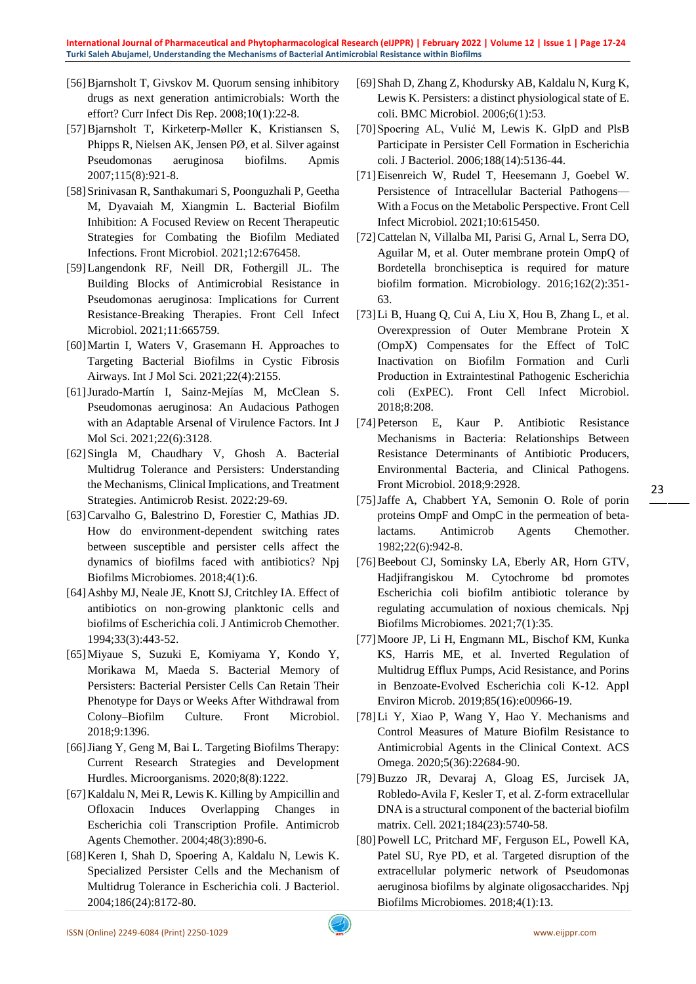- [56]Bjarnsholt T, Givskov M. Quorum sensing inhibitory drugs as next generation antimicrobials: Worth the effort? Curr Infect Dis Rep. 2008;10(1):22-8.
- [57]Bjarnsholt T, Kirketerp‐Møller K, Kristiansen S, Phipps R, Nielsen AK, Jensen PØ, et al. Silver against Pseudomonas aeruginosa biofilms. Apmis 2007;115(8):921-8.
- [58]Srinivasan R, Santhakumari S, Poonguzhali P, Geetha M, Dyavaiah M, Xiangmin L. Bacterial Biofilm Inhibition: A Focused Review on Recent Therapeutic Strategies for Combating the Biofilm Mediated Infections. Front Microbiol. 2021;12:676458.
- [59]Langendonk RF, Neill DR, Fothergill JL. The Building Blocks of Antimicrobial Resistance in Pseudomonas aeruginosa: Implications for Current Resistance-Breaking Therapies. Front Cell Infect Microbiol. 2021;11:665759.
- [60]Martin I, Waters V, Grasemann H. Approaches to Targeting Bacterial Biofilms in Cystic Fibrosis Airways. Int J Mol Sci. 2021;22(4):2155.
- [61]Jurado-Martín I, Sainz-Mejías M, McClean S. Pseudomonas aeruginosa: An Audacious Pathogen with an Adaptable Arsenal of Virulence Factors. Int J Mol Sci. 2021;22(6):3128.
- [62]Singla M, Chaudhary V, Ghosh A. Bacterial Multidrug Tolerance and Persisters: Understanding the Mechanisms, Clinical Implications, and Treatment Strategies. Antimicrob Resist. 2022:29-69.
- [63]Carvalho G, Balestrino D, Forestier C, Mathias JD. How do environment-dependent switching rates between susceptible and persister cells affect the dynamics of biofilms faced with antibiotics? Npj Biofilms Microbiomes. 2018;4(1):6.
- [64]Ashby MJ, Neale JE, Knott SJ, Critchley IA. Effect of antibiotics on non-growing planktonic cells and biofilms of Escherichia coli. J Antimicrob Chemother. 1994;33(3):443-52.
- [65]Miyaue S, Suzuki E, Komiyama Y, Kondo Y, Morikawa M, Maeda S. Bacterial Memory of Persisters: Bacterial Persister Cells Can Retain Their Phenotype for Days or Weeks After Withdrawal from Colony–Biofilm Culture. Front Microbiol. 2018;9:1396.
- [66]Jiang Y, Geng M, Bai L. Targeting Biofilms Therapy: Current Research Strategies and Development Hurdles. Microorganisms. 2020;8(8):1222.
- [67]Kaldalu N, Mei R, Lewis K. Killing by Ampicillin and Ofloxacin Induces Overlapping Changes in Escherichia coli Transcription Profile. Antimicrob Agents Chemother. 2004;48(3):890-6.
- [68]Keren I, Shah D, Spoering A, Kaldalu N, Lewis K. Specialized Persister Cells and the Mechanism of Multidrug Tolerance in Escherichia coli. J Bacteriol. 2004;186(24):8172-80.
- [69]Shah D, Zhang Z, Khodursky AB, Kaldalu N, Kurg K, Lewis K. Persisters: a distinct physiological state of E. coli. BMC Microbiol. 2006;6(1):53.
- [70]Spoering AL, Vulić M, Lewis K. GlpD and PlsB Participate in Persister Cell Formation in Escherichia coli. J Bacteriol. 2006;188(14):5136-44.
- [71]Eisenreich W, Rudel T, Heesemann J, Goebel W. Persistence of Intracellular Bacterial Pathogens— With a Focus on the Metabolic Perspective. Front Cell Infect Microbiol. 2021;10:615450.
- [72]Cattelan N, Villalba MI, Parisi G, Arnal L, Serra DO, Aguilar M, et al. Outer membrane protein OmpQ of Bordetella bronchiseptica is required for mature biofilm formation. Microbiology. 2016;162(2):351- 63.
- [73]Li B, Huang Q, Cui A, Liu X, Hou B, Zhang L, et al. Overexpression of Outer Membrane Protein X (OmpX) Compensates for the Effect of TolC Inactivation on Biofilm Formation and Curli Production in Extraintestinal Pathogenic Escherichia coli (ExPEC). Front Cell Infect Microbiol. 2018;8:208.
- [74]Peterson E, Kaur P. Antibiotic Resistance Mechanisms in Bacteria: Relationships Between Resistance Determinants of Antibiotic Producers, Environmental Bacteria, and Clinical Pathogens. Front Microbiol. 2018;9:2928.
- [75]Jaffe A, Chabbert YA, Semonin O. Role of porin proteins OmpF and OmpC in the permeation of betalactams. Antimicrob Agents Chemother. 1982;22(6):942-8.
- [76] Beebout CJ, Sominsky LA, Eberly AR, Horn GTV, Hadjifrangiskou M. Cytochrome bd promotes Escherichia coli biofilm antibiotic tolerance by regulating accumulation of noxious chemicals. Npj Biofilms Microbiomes. 2021;7(1):35.
- [77]Moore JP, Li H, Engmann ML, Bischof KM, Kunka KS, Harris ME, et al. Inverted Regulation of Multidrug Efflux Pumps, Acid Resistance, and Porins in Benzoate-Evolved Escherichia coli K-12. Appl Environ Microb. 2019;85(16):e00966-19.
- [78]Li Y, Xiao P, Wang Y, Hao Y. Mechanisms and Control Measures of Mature Biofilm Resistance to Antimicrobial Agents in the Clinical Context. ACS Omega. 2020;5(36):22684-90.
- [79]Buzzo JR, Devaraj A, Gloag ES, Jurcisek JA, Robledo-Avila F, Kesler T, et al. Z-form extracellular DNA is a structural component of the bacterial biofilm matrix. Cell. 2021;184(23):5740-58.
- [80]Powell LC, Pritchard MF, Ferguson EL, Powell KA, Patel SU, Rye PD, et al. Targeted disruption of the extracellular polymeric network of Pseudomonas aeruginosa biofilms by alginate oligosaccharides. Npj Biofilms Microbiomes. 2018;4(1):13.